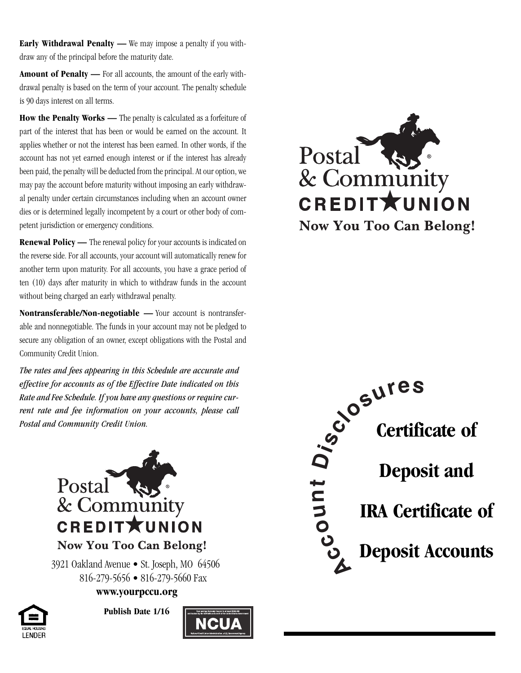**Early Withdrawal Penalty —** We may impose a penalty if you withdraw any of the principal before the maturity date.

**Amount of Penalty —** For all accounts, the amount of the early withdrawal penalty is based on the term of your account. The penalty schedule is 90 days interest on all terms.

**How the Penalty Works —** The penalty is calculated as a forfeiture of part of the interest that has been or would be earned on the account. It applies whether or not the interest has been earned. In other words, if the account has not yet earned enough interest or if the interest has already been paid, the penalty will be deducted from the principal. At our option, we may pay the account before maturity without imposing an early withdrawal penalty under certain circumstances including when an account owner dies or is determined legally incompetent by a court or other body of competent jurisdiction or emergency conditions.

**Renewal Policy —** The renewal policy for your accounts is indicated on the reverse side. For all accounts, your account will automatically renew for another term upon maturity. For all accounts, you have a grace period of ten (10) days after maturity in which to withdraw funds in the account without being charged an early withdrawal penalty.

**Nontransferable/Non-negotiable —** Your account is nontransferable and nonnegotiable. The funds in your account may not be pledged to secure any obligation of an owner, except obligations with the Postal and Community Credit Union.

*The rates and fees appearing in this Schedule are accurate and effective for accounts as of the Effective Date indicated on this Rate and Fee Schedule. If you have any questions or require current rate and fee information on your accounts, please call Postal and Community Credit Union.*